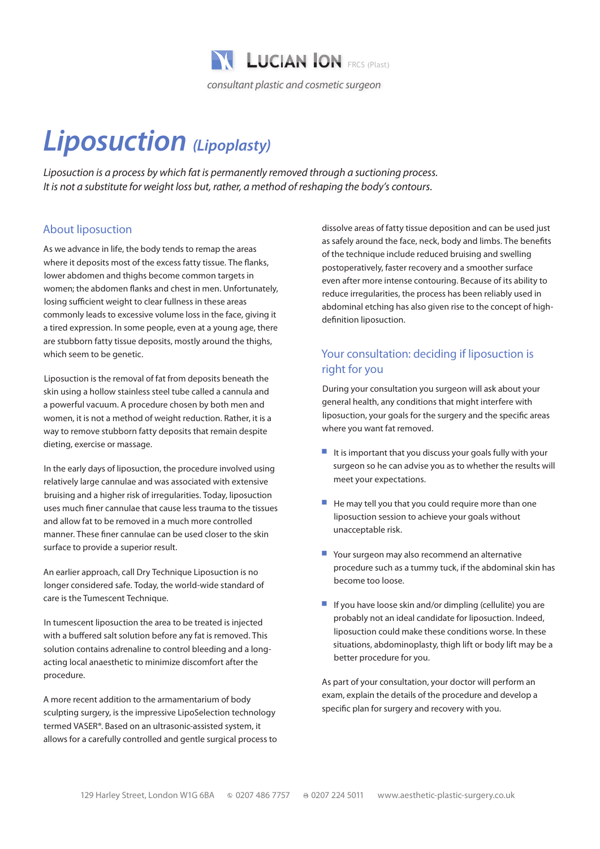

# *Liposuction (Lipoplasty)*

*Liposuction is a process by which fat is permanently removed through a suctioning process. It is not a substitute for weight loss but, rather, a method of reshaping the body's contours.*

## About liposuction

As we advance in life, the body tends to remap the areas where it deposits most of the excess fatty tissue. The flanks, lower abdomen and thighs become common targets in women; the abdomen flanks and chest in men. Unfortunately, losing sufficient weight to clear fullness in these areas commonly leads to excessive volume loss in the face, giving it a tired expression. In some people, even at a young age, there are stubborn fatty tissue deposits, mostly around the thighs, which seem to be genetic.

Liposuction is the removal of fat from deposits beneath the skin using a hollow stainless steel tube called a cannula and a powerful vacuum. A procedure chosen by both men and women, it is not a method of weight reduction. Rather, it is a way to remove stubborn fatty deposits that remain despite dieting, exercise or massage.

In the early days of liposuction, the procedure involved using relatively large cannulae and was associated with extensive bruising and a higher risk of irregularities. Today, liposuction uses much finer cannulae that cause less trauma to the tissues and allow fat to be removed in a much more controlled manner. These finer cannulae can be used closer to the skin surface to provide a superior result.

An earlier approach, call Dry Technique Liposuction is no longer considered safe. Today, the world-wide standard of care is the Tumescent Technique.

In tumescent liposuction the area to be treated is injected with a buffered salt solution before any fat is removed. This solution contains adrenaline to control bleeding and a longacting local anaesthetic to minimize discomfort after the procedure.

A more recent addition to the armamentarium of body sculpting surgery, is the impressive LipoSelection technology termed VASER®. Based on an ultrasonic-assisted system, it allows for a carefully controlled and gentle surgical process to dissolve areas of fatty tissue deposition and can be used just as safely around the face, neck, body and limbs. The benefits of the technique include reduced bruising and swelling postoperatively, faster recovery and a smoother surface even after more intense contouring. Because of its ability to reduce irregularities, the process has been reliably used in abdominal etching has also given rise to the concept of highdefinition liposuction.

# Your consultation: deciding if liposuction is right for you

During your consultation you surgeon will ask about your general health, any conditions that might interfere with liposuction, your goals for the surgery and the specific areas where you want fat removed.

- $\blacksquare$  It is important that you discuss your goals fully with your surgeon so he can advise you as to whether the results will meet your expectations.
- $\blacksquare$  He may tell you that you could require more than one liposuction session to achieve your goals without unacceptable risk.
- Your surgeon may also recommend an alternative procedure such as a tummy tuck, if the abdominal skin has become too loose.
- $\blacksquare$  If you have loose skin and/or dimpling (cellulite) you are probably not an ideal candidate for liposuction. Indeed, liposuction could make these conditions worse. In these situations, abdominoplasty, thigh lift or body lift may be a better procedure for you.

As part of your consultation, your doctor will perform an exam, explain the details of the procedure and develop a specific plan for surgery and recovery with you.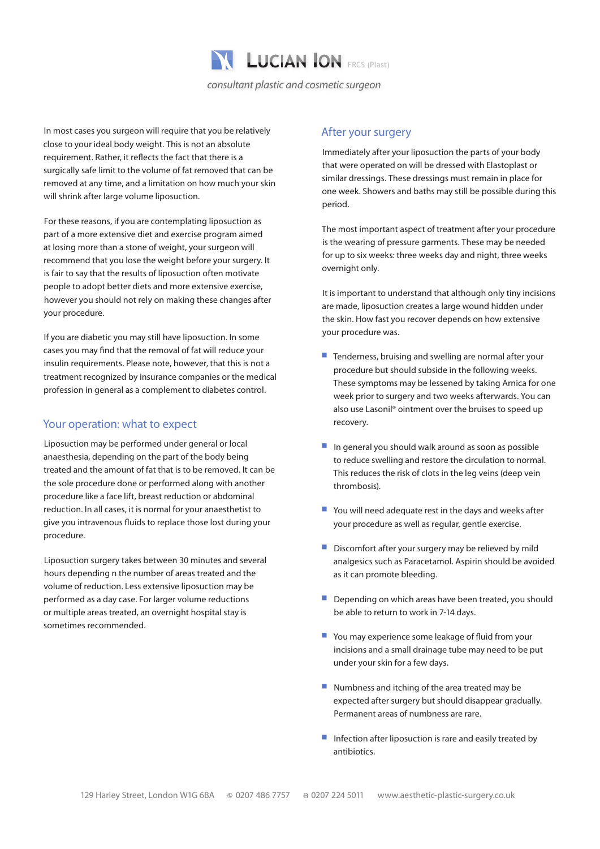

In most cases you surgeon will require that you be relatively close to your ideal body weight. This is not an absolute requirement. Rather, it reflects the fact that there is a surgically safe limit to the volume of fat removed that can be removed at any time, and a limitation on how much your skin will shrink after large volume liposuction.

For these reasons, if you are contemplating liposuction as part of a more extensive diet and exercise program aimed at losing more than a stone of weight, your surgeon will recommend that you lose the weight before your surgery. It is fair to say that the results of liposuction often motivate people to adopt better diets and more extensive exercise, however you should not rely on making these changes after your procedure.

If you are diabetic you may still have liposuction. In some cases you may find that the removal of fat will reduce your insulin requirements. Please note, however, that this is not a treatment recognized by insurance companies or the medical profession in general as a complement to diabetes control.

#### Your operation: what to expect

Liposuction may be performed under general or local anaesthesia, depending on the part of the body being treated and the amount of fat that is to be removed. It can be the sole procedure done or performed along with another procedure like a face lift, breast reduction or abdominal reduction. In all cases, it is normal for your anaesthetist to give you intravenous fluids to replace those lost during your procedure.

Liposuction surgery takes between 30 minutes and several hours depending n the number of areas treated and the volume of reduction. Less extensive liposuction may be performed as a day case. For larger volume reductions or multiple areas treated, an overnight hospital stay is sometimes recommended.

### After your surgery

Immediately after your liposuction the parts of your body that were operated on will be dressed with Elastoplast or similar dressings. These dressings must remain in place for one week. Showers and baths may still be possible during this period.

The most important aspect of treatment after your procedure is the wearing of pressure garments. These may be needed for up to six weeks: three weeks day and night, three weeks overnight only.

It is important to understand that although only tiny incisions are made, liposuction creates a large wound hidden under the skin. How fast you recover depends on how extensive your procedure was.

- $\blacksquare$  Tenderness, bruising and swelling are normal after your procedure but should subside in the following weeks. These symptoms may be lessened by taking Arnica for one week prior to surgery and two weeks afterwards. You can also use Lasonil® ointment over the bruises to speed up recovery.
- $\blacksquare$  In general you should walk around as soon as possible to reduce swelling and restore the circulation to normal. This reduces the risk of clots in the leg veins (deep vein thrombosis).
- $\blacksquare$  You will need adequate rest in the days and weeks after your procedure as well as regular, gentle exercise.
- $\blacksquare$  Discomfort after your surgery may be relieved by mild analgesics such as Paracetamol. Aspirin should be avoided as it can promote bleeding.
- Depending on which areas have been treated, you should be able to return to work in 7-14 days.
- You may experience some leakage of fluid from your incisions and a small drainage tube may need to be put under your skin for a few days.
- $\blacksquare$  Numbness and itching of the area treated may be expected after surgery but should disappear gradually. Permanent areas of numbness are rare.
- $\blacksquare$  Infection after liposuction is rare and easily treated by antibiotics.